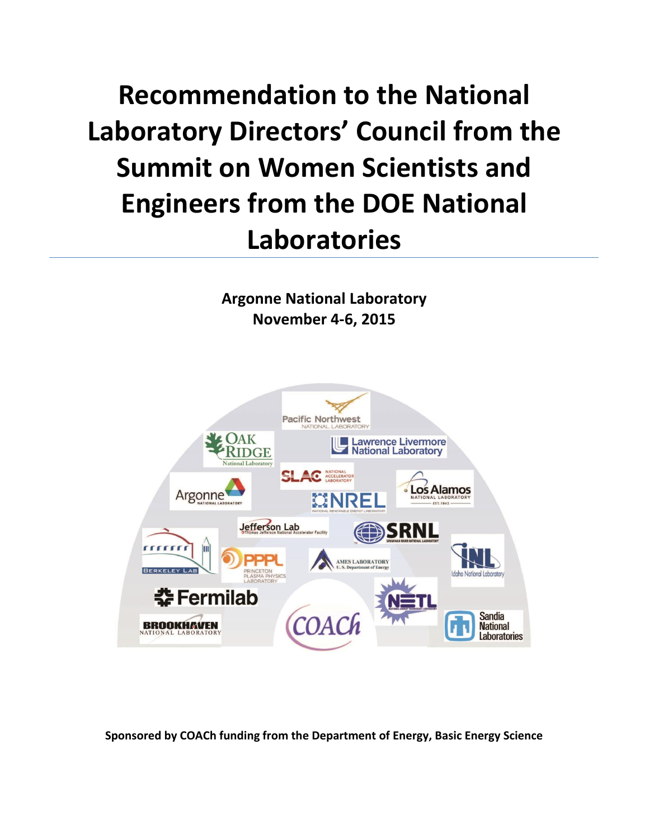**Recommendation to the National Laboratory Directors' Council from the Summit on Women Scientists and Engineers from the DOE National Laboratories**

> **Argonne National Laboratory November 4-6, 2015**



**Sponsored by COACh funding from the Department of Energy, Basic Energy Science**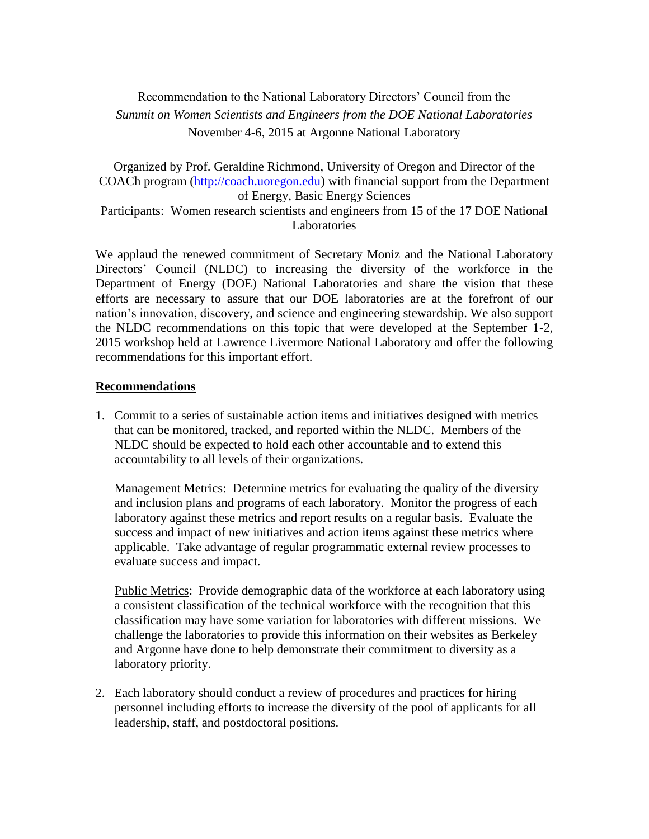## Recommendation to the National Laboratory Directors' Council from the *Summit on Women Scientists and Engineers from the DOE National Laboratories* November 4-6, 2015 at Argonne National Laboratory

Organized by Prof. Geraldine Richmond, University of Oregon and Director of the COACh program [\(http://coach.uoregon.edu\)](http://coach.uoregon.edu/) with financial support from the Department of Energy, Basic Energy Sciences Participants: Women research scientists and engineers from 15 of the 17 DOE National Laboratories

We applaud the renewed commitment of Secretary Moniz and the National Laboratory Directors' Council (NLDC) to increasing the diversity of the workforce in the Department of Energy (DOE) National Laboratories and share the vision that these efforts are necessary to assure that our DOE laboratories are at the forefront of our nation's innovation, discovery, and science and engineering stewardship. We also support the NLDC recommendations on this topic that were developed at the September 1-2, 2015 workshop held at Lawrence Livermore National Laboratory and offer the following recommendations for this important effort.

## **Recommendations**

1. Commit to a series of sustainable action items and initiatives designed with metrics that can be monitored, tracked, and reported within the NLDC. Members of the NLDC should be expected to hold each other accountable and to extend this accountability to all levels of their organizations.

Management Metrics: Determine metrics for evaluating the quality of the diversity and inclusion plans and programs of each laboratory. Monitor the progress of each laboratory against these metrics and report results on a regular basis. Evaluate the success and impact of new initiatives and action items against these metrics where applicable. Take advantage of regular programmatic external review processes to evaluate success and impact.

Public Metrics: Provide demographic data of the workforce at each laboratory using a consistent classification of the technical workforce with the recognition that this classification may have some variation for laboratories with different missions. We challenge the laboratories to provide this information on their websites as Berkeley and Argonne have done to help demonstrate their commitment to diversity as a laboratory priority.

2. Each laboratory should conduct a review of procedures and practices for hiring personnel including efforts to increase the diversity of the pool of applicants for all leadership, staff, and postdoctoral positions.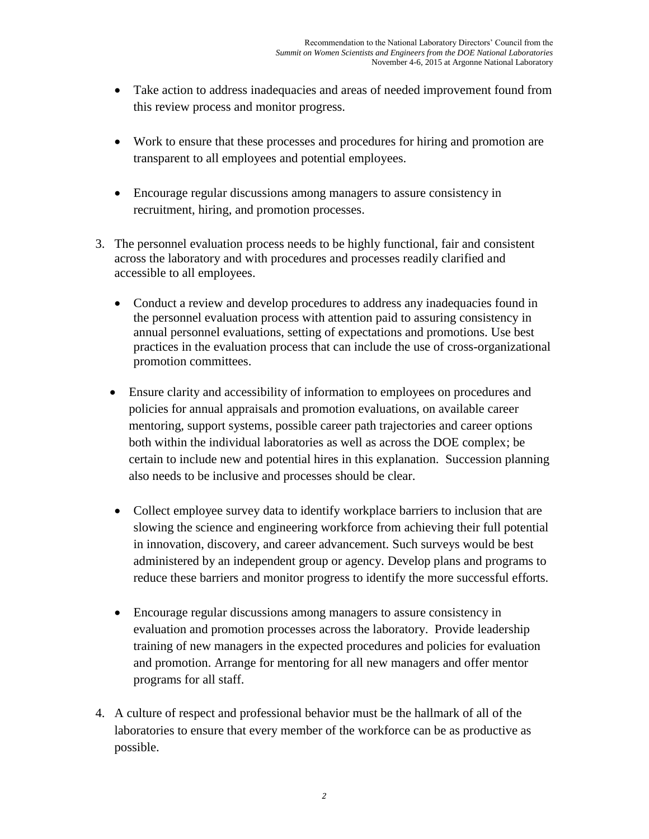- Take action to address inadequacies and areas of needed improvement found from this review process and monitor progress.
- Work to ensure that these processes and procedures for hiring and promotion are transparent to all employees and potential employees.
- Encourage regular discussions among managers to assure consistency in recruitment, hiring, and promotion processes.
- 3. The personnel evaluation process needs to be highly functional, fair and consistent across the laboratory and with procedures and processes readily clarified and accessible to all employees.
	- Conduct a review and develop procedures to address any inadequacies found in the personnel evaluation process with attention paid to assuring consistency in annual personnel evaluations, setting of expectations and promotions. Use best practices in the evaluation process that can include the use of cross-organizational promotion committees.
	- Ensure clarity and accessibility of information to employees on procedures and policies for annual appraisals and promotion evaluations, on available career mentoring, support systems, possible career path trajectories and career options both within the individual laboratories as well as across the DOE complex; be certain to include new and potential hires in this explanation. Succession planning also needs to be inclusive and processes should be clear.
	- Collect employee survey data to identify workplace barriers to inclusion that are slowing the science and engineering workforce from achieving their full potential in innovation, discovery, and career advancement. Such surveys would be best administered by an independent group or agency. Develop plans and programs to reduce these barriers and monitor progress to identify the more successful efforts.
	- Encourage regular discussions among managers to assure consistency in evaluation and promotion processes across the laboratory. Provide leadership training of new managers in the expected procedures and policies for evaluation and promotion. Arrange for mentoring for all new managers and offer mentor programs for all staff.
- 4. A culture of respect and professional behavior must be the hallmark of all of the laboratories to ensure that every member of the workforce can be as productive as possible.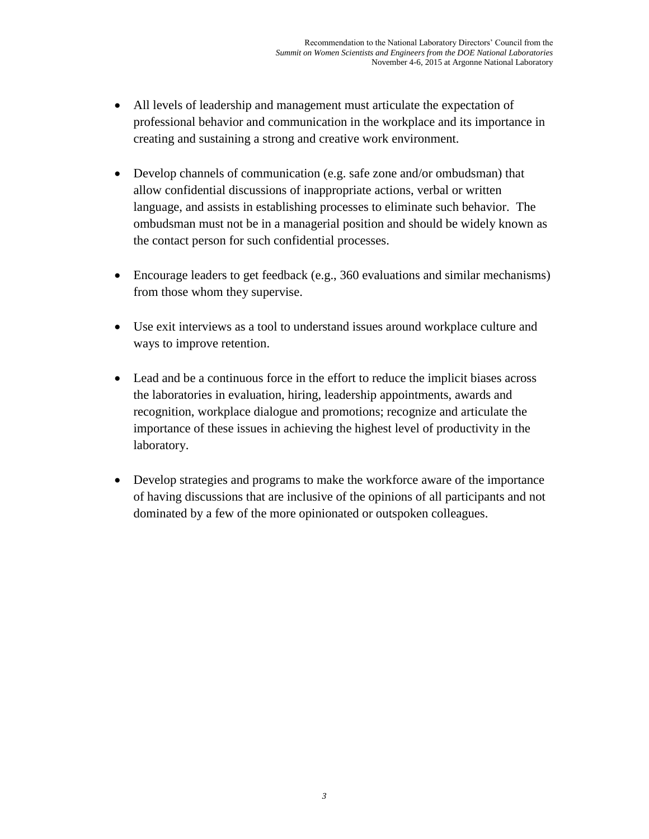- All levels of leadership and management must articulate the expectation of professional behavior and communication in the workplace and its importance in creating and sustaining a strong and creative work environment.
- Develop channels of communication (e.g. safe zone and/or ombudsman) that allow confidential discussions of inappropriate actions, verbal or written language, and assists in establishing processes to eliminate such behavior. The ombudsman must not be in a managerial position and should be widely known as the contact person for such confidential processes.
- Encourage leaders to get feedback (e.g., 360 evaluations and similar mechanisms) from those whom they supervise.
- Use exit interviews as a tool to understand issues around workplace culture and ways to improve retention.
- Lead and be a continuous force in the effort to reduce the implicit biases across the laboratories in evaluation, hiring, leadership appointments, awards and recognition, workplace dialogue and promotions; recognize and articulate the importance of these issues in achieving the highest level of productivity in the laboratory.
- Develop strategies and programs to make the workforce aware of the importance of having discussions that are inclusive of the opinions of all participants and not dominated by a few of the more opinionated or outspoken colleagues.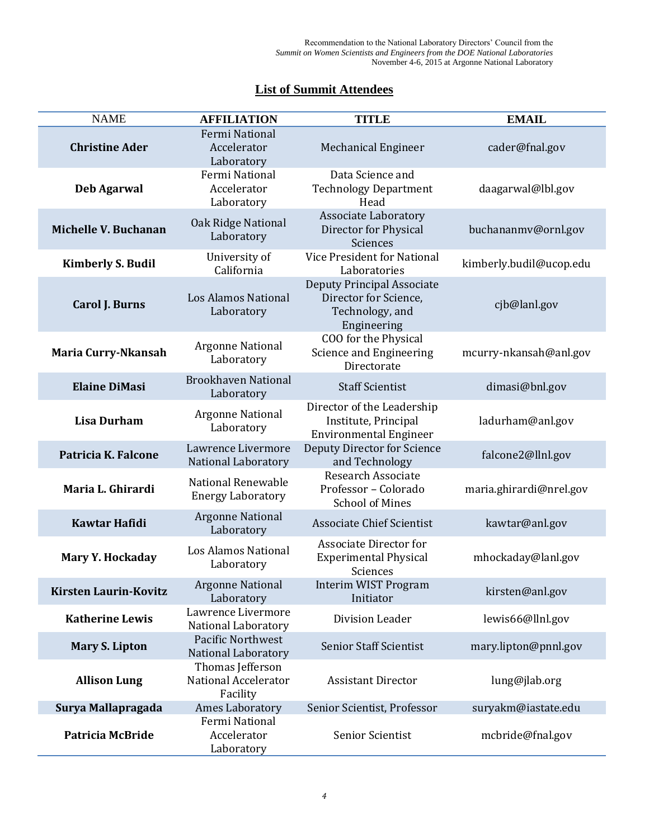## **List of Summit Attendees**

| <b>NAME</b>                  | <b>AFFILIATION</b>                                   | <b>TITLE</b>                                                                          | <b>EMAIL</b>            |
|------------------------------|------------------------------------------------------|---------------------------------------------------------------------------------------|-------------------------|
| <b>Christine Ader</b>        | Fermi National<br>Accelerator<br>Laboratory          | <b>Mechanical Engineer</b>                                                            | cader@fnal.gov          |
| <b>Deb Agarwal</b>           | Fermi National<br>Accelerator<br>Laboratory          | Data Science and<br><b>Technology Department</b><br>Head                              | daagarwal@lbl.gov       |
| Michelle V. Buchanan         | Oak Ridge National<br>Laboratory                     | <b>Associate Laboratory</b><br>Director for Physical<br>Sciences                      | buchananmv@ornl.gov     |
| <b>Kimberly S. Budil</b>     | University of<br>California                          | <b>Vice President for National</b><br>Laboratories                                    | kimberly.budil@ucop.edu |
| <b>Carol J. Burns</b>        | Los Alamos National<br>Laboratory                    | Deputy Principal Associate<br>Director for Science,<br>Technology, and<br>Engineering | cjb@lanl.gov            |
| <b>Maria Curry-Nkansah</b>   | <b>Argonne National</b><br>Laboratory                | COO for the Physical<br>Science and Engineering<br>Directorate                        | mcurry-nkansah@anl.gov  |
| <b>Elaine DiMasi</b>         | <b>Brookhaven National</b><br>Laboratory             | <b>Staff Scientist</b>                                                                | dimasi@bnl.gov          |
| <b>Lisa Durham</b>           | <b>Argonne National</b><br>Laboratory                | Director of the Leadership<br>Institute, Principal<br><b>Environmental Engineer</b>   | ladurham@anl.gov        |
| Patricia K. Falcone          | Lawrence Livermore<br>National Laboratory            | Deputy Director for Science<br>and Technology                                         | falcone2@llnl.gov       |
| Maria L. Ghirardi            | National Renewable<br><b>Energy Laboratory</b>       | <b>Research Associate</b><br>Professor - Colorado<br><b>School of Mines</b>           | maria.ghirardi@nrel.gov |
| <b>Kawtar Hafidi</b>         | <b>Argonne National</b><br>Laboratory                | <b>Associate Chief Scientist</b>                                                      | kawtar@anl.gov          |
| Mary Y. Hockaday             | <b>Los Alamos National</b><br>Laboratory             | Associate Director for<br><b>Experimental Physical</b><br>Sciences                    | mhockaday@lanl.gov      |
| <b>Kirsten Laurin-Kovitz</b> | <b>Argonne National</b><br>Laboratory                | <b>Interim WIST Program</b><br>Initiator                                              | kirsten@anl.gov         |
| <b>Katherine Lewis</b>       | Lawrence Livermore<br>National Laboratory            | Division Leader                                                                       | lewis66@llnl.gov        |
| <b>Mary S. Lipton</b>        | <b>Pacific Northwest</b><br>National Laboratory      | <b>Senior Staff Scientist</b>                                                         | mary.lipton@pnnl.gov    |
| <b>Allison Lung</b>          | Thomas Jefferson<br>National Accelerator<br>Facility | <b>Assistant Director</b>                                                             | lung@jlab.org           |
| Surya Mallapragada           | Ames Laboratory                                      | Senior Scientist, Professor                                                           | suryakm@iastate.edu     |
| Patricia McBride             | Fermi National<br>Accelerator<br>Laboratory          | Senior Scientist                                                                      | mcbride@fnal.gov        |